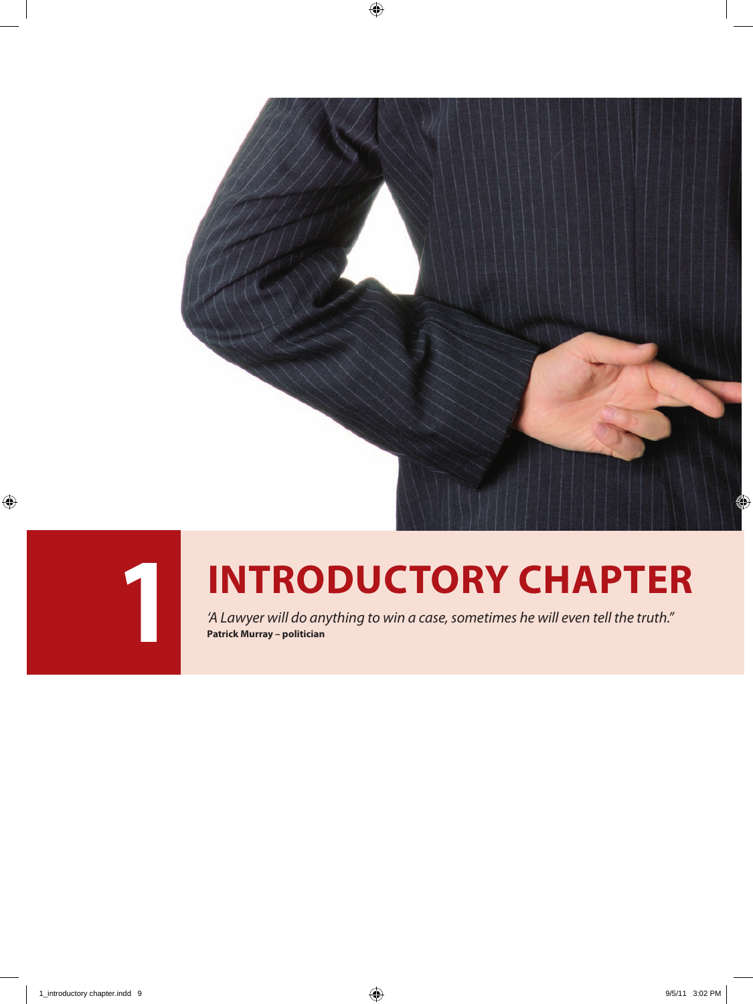



# **1 INTRODUCTORY CHAPTER**

*'A Lawyer will do anything to win a case, sometimes he will even tell the truth."* **Patrick Murray – politician**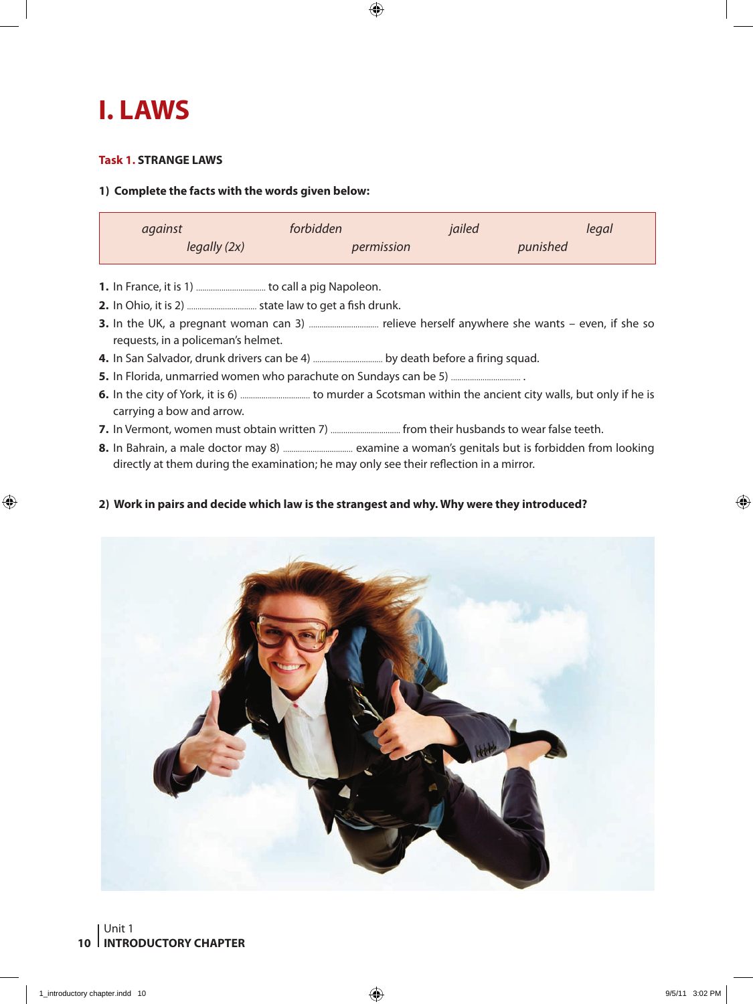## **I. LAWS**

#### **Task 1. STRANGE LAWS**

#### **1) Complete the facts with the words given below:**

| against      | forbidden  | jailed   | legal |
|--------------|------------|----------|-------|
| legally (2x) | permission | punished |       |

- **1.** In France, it is 1) ................................. to call a pig Napoleon.
- **2.** In Ohio, it is 2) ................................. state law to get a fish drunk.
- **3.** In the UK, a pregnant woman can 3) ................................. relieve herself anywhere she wants even, if she so requests, in a policeman's helmet.
- **4.** In San Salvador, drunk drivers can be 4) ................................. by death before a firing squad.
- **5.** In Florida, unmarried women who parachute on Sundays can be 5) ................................. .
- **6.** In the city of York, it is 6) ................................. to murder a Scotsman within the ancient city walls, but only if he is carrying a bow and arrow.
- **7.** In Vermont, women must obtain written 7) ................................. from their husbands to wear false teeth.
- **8.** In Bahrain, a male doctor may 8) ................................. examine a woman's genitals but is forbidden from looking directly at them during the examination; he may only see their reflection in a mirror.

#### **2) Work in pairs and decide which law is the strangest and why. Why were they introduced?**

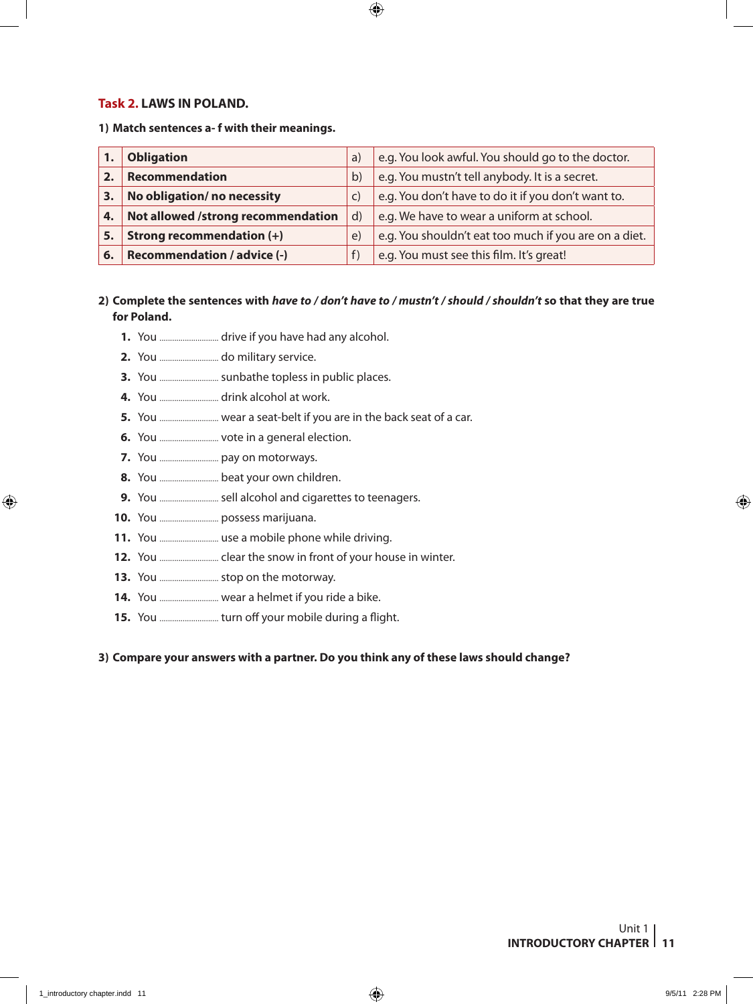#### **Task 2. LAWS IN POLAND.**

**1) Match sentences a- f with their meanings.**

|    | <b>Obligation</b>                  | a)           | e.g. You look awful. You should go to the doctor.     |
|----|------------------------------------|--------------|-------------------------------------------------------|
|    | Recommendation                     | $\mathsf{b}$ | e.g. You mustn't tell anybody. It is a secret.        |
| 3. | No obligation/ no necessity        | C)           | e.g. You don't have to do it if you don't want to.    |
| 4. | Not allowed /strong recommendation | d)           | e.g. We have to wear a uniform at school.             |
| 5. | Strong recommendation (+)          | $\epsilon$   | e.g. You shouldn't eat too much if you are on a diet. |
| 6. | <b>Recommendation / advice (-)</b> | f)           | e.g. You must see this film. It's great!              |

#### **2) Complete the sentences with** *have to / don't have to / mustn't / should / shouldn't* **so that they are true for Poland.**

- **1.** You ............................ drive if you have had any alcohol.
- **2.** You ............................ do military service.
- **3.** You ............................ sunbathe topless in public places.
- **4.** You ............................ drink alcohol at work.
- **5.** You ............................ wear a seat-belt if you are in the back seat of a car.
- **6.** You ............................ vote in a general election.
- **7.** You ............................ pay on motorways.
- **8.** You ............................ beat your own children.
- **9.** You ............................ sell alcohol and cigarettes to teenagers.
- **10.** You ............................ possess marijuana.
- **11.** You ............................ use a mobile phone while driving.
- **12.** You ............................ clear the snow in front of your house in winter.
- **13.** You ............................ stop on the motorway.
- **14.** You ............................ wear a helmet if you ride a bike.
- **15.** You ............................ turn off your mobile during a flight.

#### **3) Compare your answers with a partner. Do you think any of these laws should change?**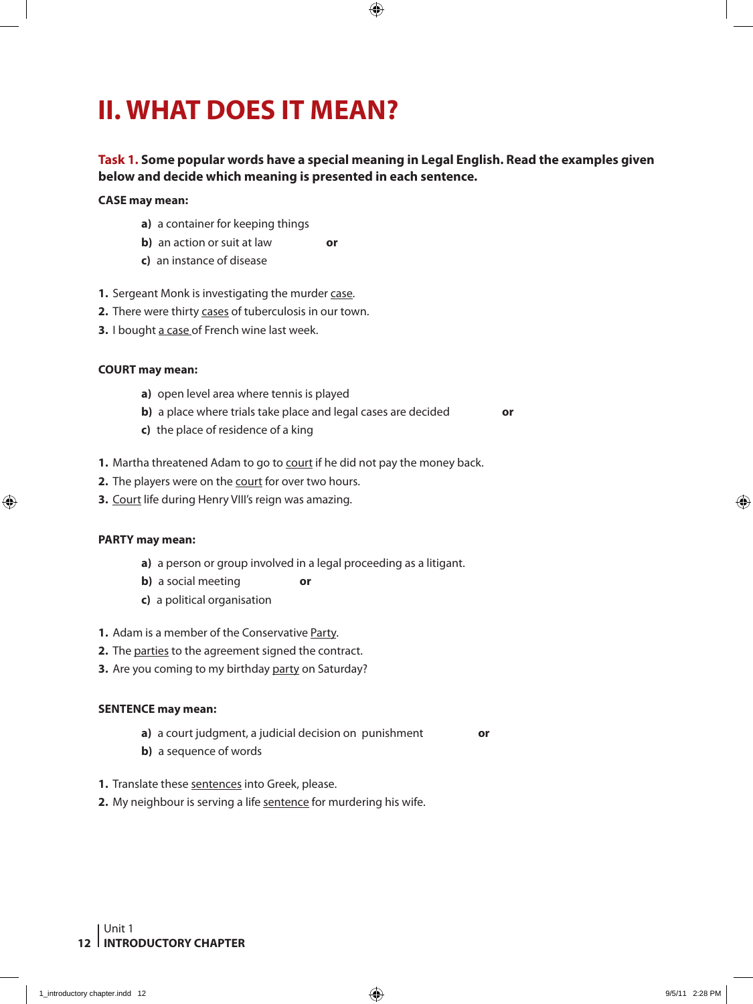# **II. WHAT DOES IT MEAN?**

#### **Task 1. Some popular words have a special meaning in Legal English. Read the examples given below and decide which meaning is presented in each sentence.**

#### **CASE may mean:**

- **a)** a container for keeping things
- **b)** an action or suit at law **or**
- **c)** an instance of disease
- 1. Sergeant Monk is investigating the murder case.
- **2.** There were thirty cases of tuberculosis in our town.
- **3.** I bought a case of French wine last week.

#### **COURT may mean:**

- **a)** open level area where tennis is played
- **b)** a place where trials take place and legal cases are decided **or**
- **c)** the place of residence of a king
- **1.** Martha threatened Adam to go to court if he did not pay the money back.
- **2.** The players were on the court for over two hours.
- **3.** Court life during Henry VIII's reign was amazing.

#### **PARTY may mean:**

- **a)** a person or group involved in a legal proceeding as a litigant.
- **b**) a social meeting **or**
- **c)** a political organisation
- **1.** Adam is a member of the Conservative Party.
- **2.** The parties to the agreement signed the contract.
- **3.** Are you coming to my birthday party on Saturday?

#### **SENTENCE may mean:**

- **a)** a court judgment, a judicial decision on punishment **or**
- **b)** a sequence of words
- **1.** Translate these sentences into Greek, please.
- 2. My neighbour is serving a life sentence for murdering his wife.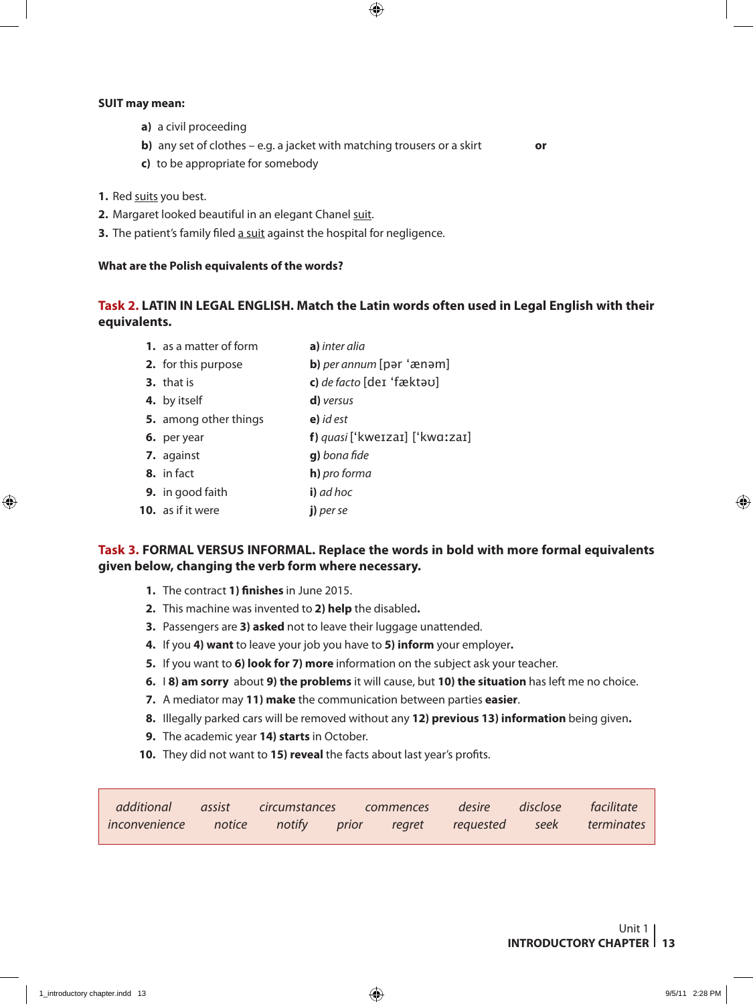#### **SUIT may mean:**

- **a)** a civil proceeding
- **b)** any set of clothes e.g. a jacket with matching trousers or a skirt **or**
- **c)** to be appropriate for somebody
- **1.** Red suits you best.
- **2.** Margaret looked beautiful in an elegant Chanel suit.
- **3.** The patient's family filed a suit against the hospital for negligence.

#### **What are the Polish equivalents of the words?**

#### **Task 2. LATIN IN LEGAL ENGLISH. Match the Latin words often used in Legal English with their equivalents.**

**1.** as a matter of form **a)** *inter alia* **2.** for this purpose **b)** *per annum* [pər 'ænəm] **3.** that is **c)** *de facto* [deɪ 'fæktəʊ] **4.** by itself **d)** *versus* **5.** among other things **e)** *id est* **6.** per year **f)** *quasi* ['kweɪzaɪ] ['kwɑːzaɪ] **7.** against **g)** *bona fide* **8.** in fact **h)** *pro forma* **9.** in good faith **i)** *ad hoc* **10.** as if it were **j)** *per se*

#### **Task 3. FORMAL VERSUS INFORMAL. Replace the words in bold with more formal equivalents given below, changing the verb form where necessary.**

- **1.** The contract **1) finishes** in June 2015.
- **2.** This machine was invented to **2) help** the disabled**.**
- **3.** Passengers are **3) asked** not to leave their luggage unattended.
- **4.** If you **4) want** to leave your job you have to **5) inform** your employer**.**
- **5.** If you want to **6) look for 7) more** information on the subject ask your teacher.
- **6.** I **8) am sorry** about **9) the problems** it will cause, but **10) the situation** has left me no choice.
- **7.** A mediator may **11) make** the communication between parties **easier**.
- **8.** Illegally parked cars will be removed without any **12) previous 13) information** being given**.**
- **9.** The academic year **14) starts** in October.
- **10.** They did not want to **15) reveal** the facts about last year's profits.

|                                                                    |  |  |  | additional assist circumstances commences desire disclose facilitate |
|--------------------------------------------------------------------|--|--|--|----------------------------------------------------------------------|
| inconvenience notice notify prior regret requested seek terminates |  |  |  |                                                                      |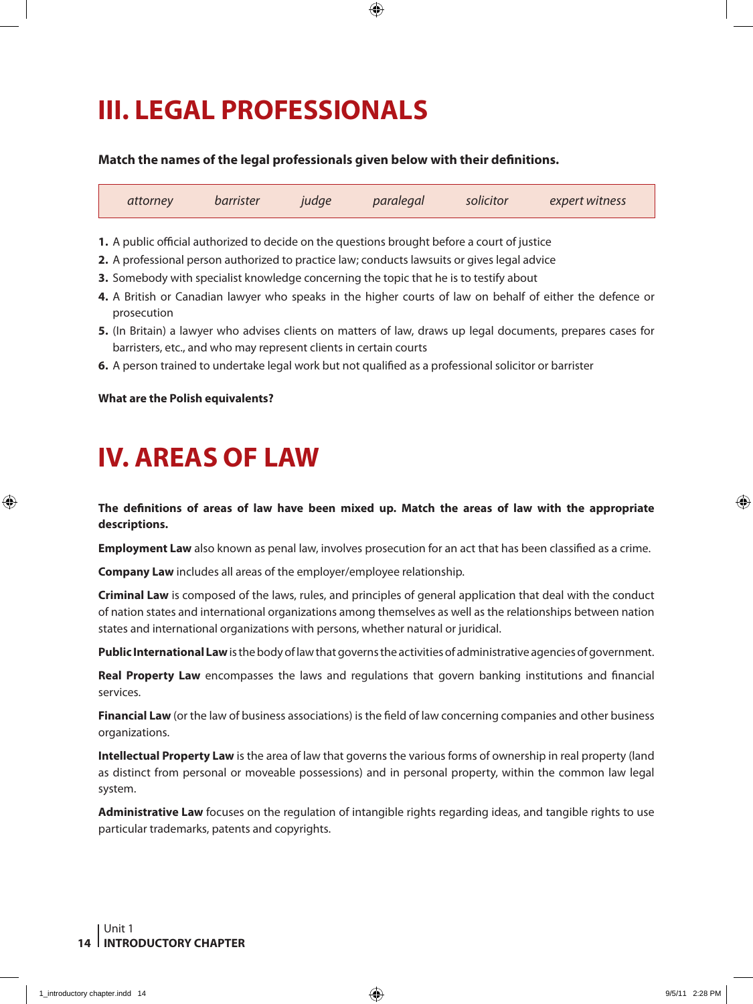# **III. LEGAL PROFESSIONALS**

#### **Match the names of the legal professionals given below with their definitions.**

| attorney | barrister | judge paralegal solicitor | expert witness |  |
|----------|-----------|---------------------------|----------------|--|
|          |           |                           |                |  |

**1.** A public official authorized to decide on the questions brought before a court of justice

- **2.** A professional person authorized to practice law; conducts lawsuits or gives legal advice
- **3.** Somebody with specialist knowledge concerning the topic that he is to testify about
- **4.** A British or Canadian lawyer who speaks in the higher courts of law on behalf of either the defence or prosecution
- **5.** (In Britain) a lawyer who advises clients on matters of law, draws up legal documents, prepares cases for barristers, etc., and who may represent clients in certain courts
- **6.** A person trained to undertake legal work but not qualified as a professional solicitor or barrister

#### **What are the Polish equivalents?**

## **IV. AREAS OF LAW**

**The definitions of areas of law have been mixed up. Match the areas of law with the appropriate descriptions.** 

**Employment Law** also known as penal law, involves prosecution for an act that has been classified as a crime.

**Company Law** includes all areas of the employer/employee relationship.

**Criminal Law** is composed of the laws, rules, and principles of general application that deal with the conduct of nation states and international organizations among themselves as well as the relationships between nation states and international organizations with persons, whether natural or juridical.

**Public International Law** is the body of law that governs the activities of administrative agencies of government.

**Real Property Law** encompasses the laws and regulations that govern banking institutions and financial services.

**Financial Law** (or the law of business associations) is the field of law concerning companies and other business organizations.

**Intellectual Property Law** is the area of law that governs the various forms of ownership in real property (land as distinct from personal or moveable possessions) and in personal property, within the common law legal system.

**Administrative Law** focuses on the regulation of intangible rights regarding ideas, and tangible rights to use particular trademarks, patents and copyrights.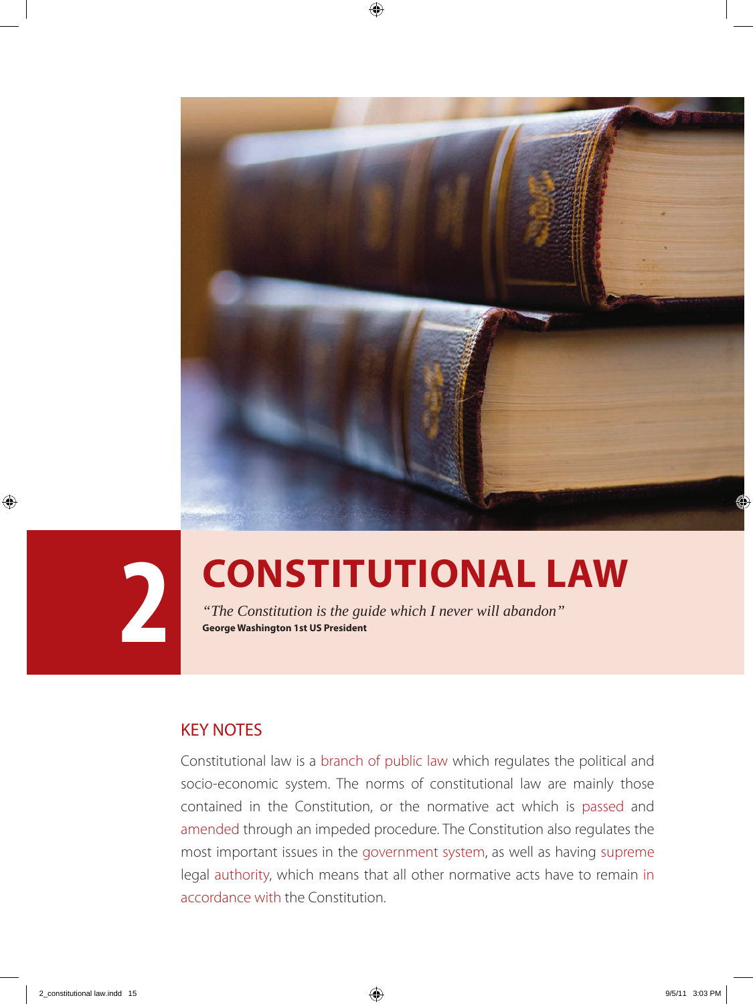



# **2 CONSTITUTIONAL LAW**<br> **2 CONSTITUTIONAL LAW**<br> **2 CONSTITUTIONAL LAW**<br> **2 Constitution** is the guide which I never will abandon"

*"The Constitution is the guide which I never will abandon"*  **George Washington 1st US President**

## KEY NOTES

Constitutional law is a branch of public law which regulates the political and socio-economic system. The norms of constitutional law are mainly those contained in the Constitution, or the normative act which is passed and amended through an impeded procedure. The Constitution also regulates the most important issues in the government system, as well as having supreme legal authority, which means that all other normative acts have to remain in accordance with the Constitution.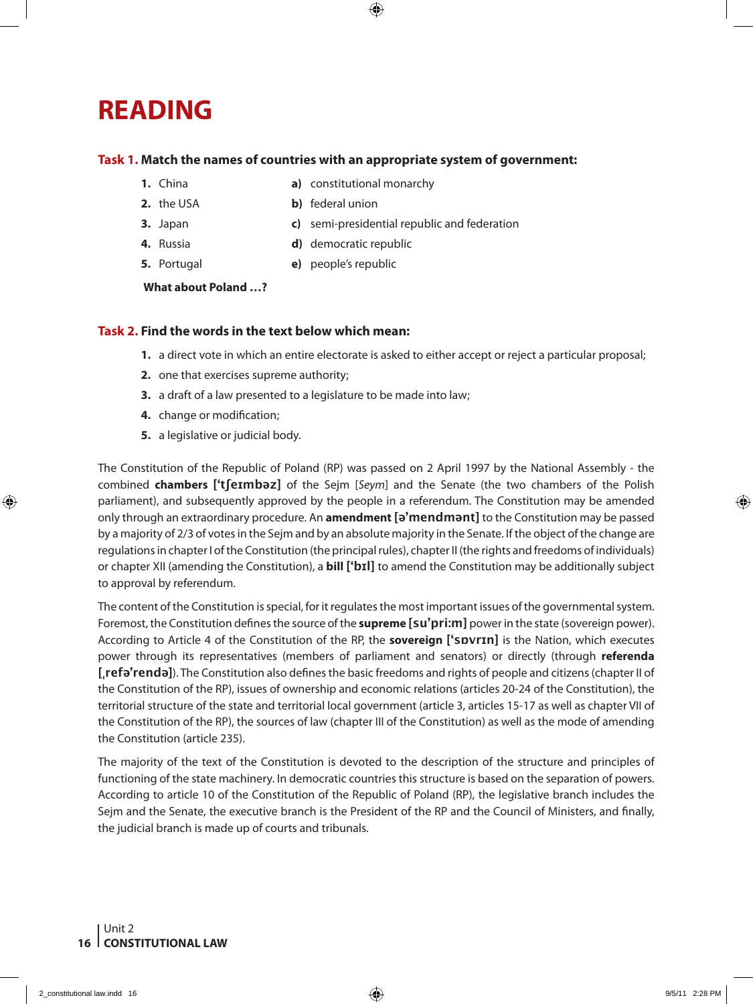## **READING**

#### **Task 1. Match the names of countries with an appropriate system of government:**

- **1.** China **a)** constitutional monarchy
	-
- **2.** the USA **b)** federal union
- **3.** Japan **c)** semi-presidential republic and federation
- 
- **4.** Russia **d)** democratic republic
- 
- **5.** Portugal **e)** people's republic

#### **What about Poland …?**

#### **Task 2. Find the words in the text below which mean:**

- **1.** a direct vote in which an entire electorate is asked to either accept or reject a particular proposal;
- **2.** one that exercises supreme authority;
- **3.** a draft of a law presented to a legislature to be made into law;
- **4.** change or modification;
- **5.** a legislative or judicial body.

The Constitution of the Republic of Poland (RP) was passed on 2 April 1997 by the National Assembly - the combined **chambers ['tʃeɪmbəz]** of the Sejm [*Seym*] and the Senate (the two chambers of the Polish parliament), and subsequently approved by the people in a referendum. The Constitution may be amended only through an extraordinary procedure. An **amendment [ə'mendmənt]** to the Constitution may be passed by a majority of 2/3 of votes in the Sejm and by an absolute majority in the Senate. If the object of the change are regulations in chapter I of the Constitution (the principal rules), chapter II (the rights and freedoms of individuals) or chapter XII (amending the Constitution), a **bill ['bɪl]** to amend the Constitution may be additionally subject to approval by referendum.

The content of the Constitution is special, for it regulates the most important issues of the governmental system. Foremost, the Constitution defines the source of the **supreme [su'pri:m]** power in the state (sovereign power). According to Article 4 of the Constitution of the RP, the **sovereign ['sɒvrɪn]** is the Nation, which executes power through its representatives (members of parliament and senators) or directly (through **referenda [ˌrefə'rendə]**). The Constitution also defines the basic freedoms and rights of people and citizens (chapter II of the Constitution of the RP), issues of ownership and economic relations (articles 20-24 of the Constitution), the territorial structure of the state and territorial local government (article 3, articles 15-17 as well as chapter VII of the Constitution of the RP), the sources of law (chapter III of the Constitution) as well as the mode of amending the Constitution (article 235).

The majority of the text of the Constitution is devoted to the description of the structure and principles of functioning of the state machinery. In democratic countries this structure is based on the separation of powers. According to article 10 of the Constitution of the Republic of Poland (RP), the legislative branch includes the Sejm and the Senate, the executive branch is the President of the RP and the Council of Ministers, and finally, the judicial branch is made up of courts and tribunals.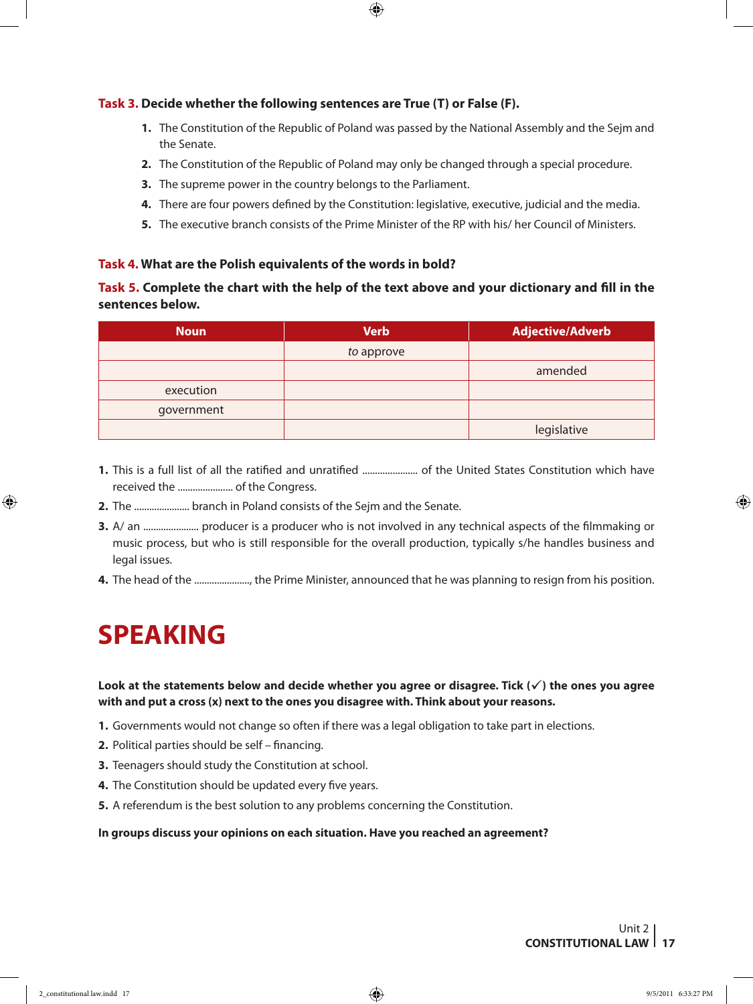#### **Task 3. Decide whether the following sentences are True (T) or False (F).**

- **1.** The Constitution of the Republic of Poland was passed by the National Assembly and the Sejm and the Senate.
- **2.** The Constitution of the Republic of Poland may only be changed through a special procedure.
- **3.** The supreme power in the country belongs to the Parliament.
- **4.** There are four powers defined by the Constitution: legislative, executive, judicial and the media.
- **5.** The executive branch consists of the Prime Minister of the RP with his/ her Council of Ministers.

#### **Task 4. What are the Polish equivalents of the words in bold?**

#### **Task 5. Complete the chart with the help of the text above and your dictionary and fill in the sentences below.**

| <b>Noun</b> | <b>Verb</b> | <b>Adjective/Adverb</b> |
|-------------|-------------|-------------------------|
|             | to approve  |                         |
|             |             | amended                 |
| execution   |             |                         |
| government  |             |                         |
|             |             | legislative             |

- **1.** This is a full list of all the ratified and unratified ...................... of the United States Constitution which have received the ...................... of the Congress.
- **2.** The ...................... branch in Poland consists of the Sejm and the Senate.
- **3.** A/ an ...................... producer is a producer who is not involved in any technical aspects of the filmmaking or music process, but who is still responsible for the overall production, typically s/he handles business and legal issues.
- **4.** The head of the ......................, the Prime Minister, announced that he was planning to resign from his position.

## **SPEAKING**

#### Look at the statements below and decide whether you agree or disagree. Tick  $(\checkmark)$  the ones you agree **with and put a cross (x) next to the ones you disagree with. Think about your reasons.**

- **1.** Governments would not change so often if there was a legal obligation to take part in elections.
- **2.** Political parties should be self financing.
- **3.** Teenagers should study the Constitution at school.
- **4.** The Constitution should be updated every five years.
- **5.** A referendum is the best solution to any problems concerning the Constitution.

#### **In groups discuss your opinions on each situation. Have you reached an agreement?**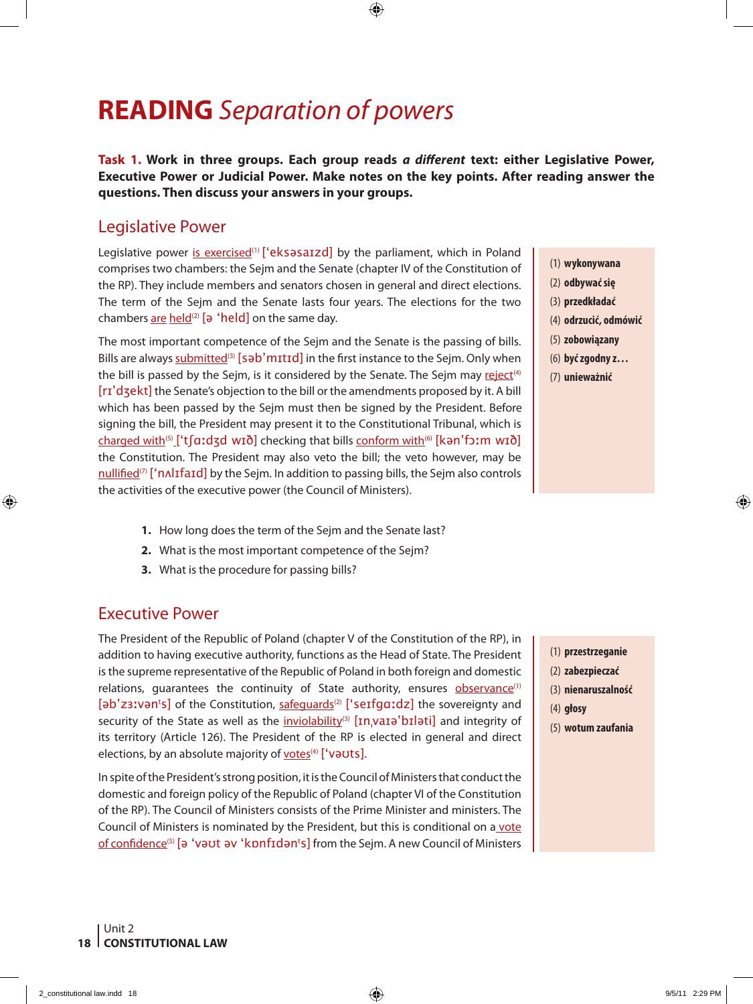## **READING** *Separation of powers*

**Task 1. Work in three groups. Each group reads** *a different* **text: either Legislative Power, Executive Power or Judicial Power. Make notes on the key points. After reading answer the questions. Then discuss your answers in your groups.** 

### Legislative Power

Legislative power is exercised<sup>(1)</sup> ['eksəsa $izd$ ] by the parliament, which in Poland comprises two chambers: the Sejm and the Senate (chapter IV of the Constitution of the RP). They include members and senators chosen in general and direct elections. The term of the Sejm and the Senate lasts four years. The elections for the two chambers are held<sup>(2)</sup> [ $\theta$  'held] on the same day.

The most important competence of the Sejm and the Senate is the passing of bills. Bills are always submitted<sup>(3)</sup> [səb'mɪtɪd] in the first instance to the Sejm. Only when the bill is passed by the Sejm, is it considered by the Senate. The Sejm may reject<sup>(4)</sup> [rɪ'dʒekt] the Senate's objection to the bill or the amendments proposed by it. A bill which has been passed by the Sejm must then be signed by the President. Before signing the bill, the President may present it to the Constitutional Tribunal, which is charged with<sup>(5)</sup> ['t[aːdʒd wɪð] checking that bills conform with<sup>(6)</sup> [kən'fɔːm wɪð] the Constitution. The President may also veto the bill; the veto however, may be nullified<sup>(7)</sup> ['n $\Lambda$ lɪfaɪd] by the Sejm. In addition to passing bills, the Sejm also controls the activities of the executive power (the Council of Ministers).

- **1.** How long does the term of the Sejm and the Senate last?
- **2.** What is the most important competence of the Sejm?
- **3.** What is the procedure for passing bills?

### Executive Power

The President of the Republic of Poland (chapter V of the Constitution of the RP), in addition to having executive authority, functions as the Head of State. The President is the supreme representative of the Republic of Poland in both foreign and domestic relations, guarantees the continuity of State authority, ensures **observance**<sup>(1)</sup> [əb'zɜːvənʰs] of the Constitution, <u>safeguards</u>⑵ ['s<code>eɪfgɑːdz]</code> the sovereignty and security of the State as well as the inviolability<sup>(3)</sup>  $\left[\text{In\,}x\right]$  and integrity of its territory (Article 126). The President of the RP is elected in general and direct elections, by an absolute majority of votes<sup>(4)</sup> ['vauts].

In spite of the President's strong position, it is the Council of Ministers that conduct the domestic and foreign policy of the Republic of Poland (chapter VI of the Constitution of the RP). The Council of Ministers consists of the Prime Minister and ministers. The Council of Ministers is nominated by the President, but this is conditional on a vote <u>of confidence</u>⑸ [ə 'vəʊt əv 'kɒnfɪdən's] from the Sejm. A new Council of Ministers

- (1) **wykonywana**
- (2) **odbywać się**
- (3) **przedkładać**
- (4) **odrzucić, odmówić**
- (5) **zobowiązany**
- (6) **być zgodny z…**
- (7) **unieważnić**

- (1) **przestrzeganie**
- (2) **zabezpieczać**
- (3) **nienaruszalność**
- (4) **głosy**
- (5) **wotum zaufania**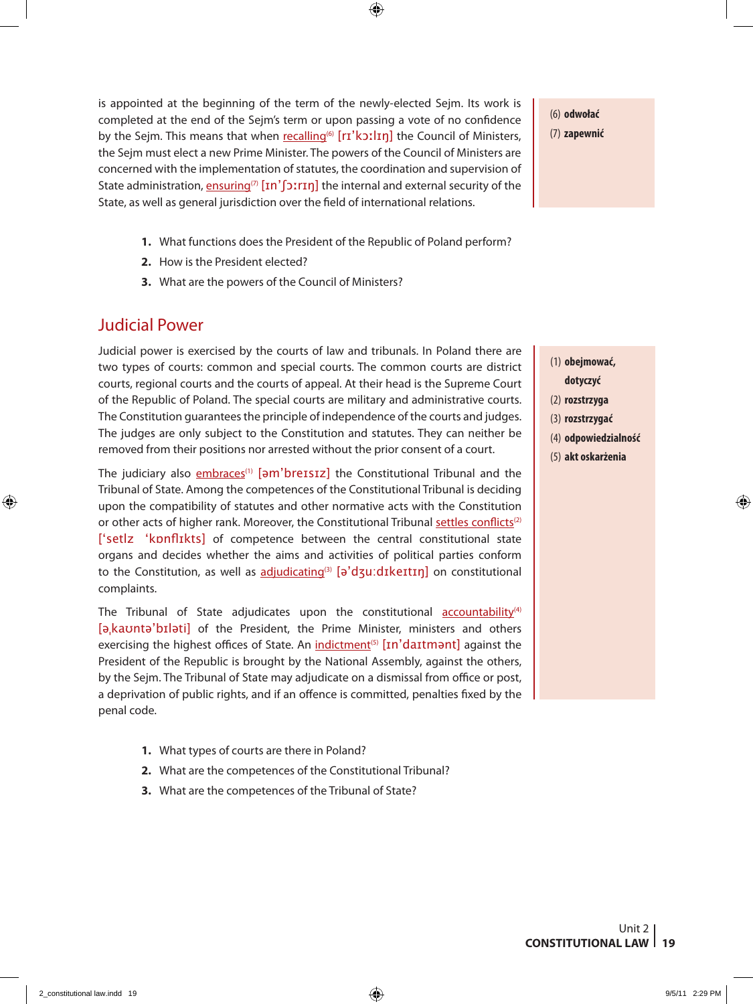is appointed at the beginning of the term of the newly-elected Sejm. Its work is completed at the end of the Sejm's term or upon passing a vote of no confidence by the Sejm. This means that when recalling<sup>(6)</sup> [ri] the Council of Ministers, the Sejm must elect a new Prime Minister. The powers of the Council of Ministers are concerned with the implementation of statutes, the coordination and supervision of State administration, ensuring<sup>(7)</sup>  $\text{In}'$  [ $\text{or}$ ] the internal and external security of the State, as well as general jurisdiction over the field of international relations.

- **1.** What functions does the President of the Republic of Poland perform?
- **2.** How is the President elected?
- **3.** What are the powers of the Council of Ministers?

## Judicial Power

Judicial power is exercised by the courts of law and tribunals. In Poland there are two types of courts: common and special courts. The common courts are district courts, regional courts and the courts of appeal. At their head is the Supreme Court of the Republic of Poland. The special courts are military and administrative courts. The Constitution guarantees the principle of independence of the courts and judges. The judges are only subject to the Constitution and statutes. They can neither be removed from their positions nor arrested without the prior consent of a court.

The judiciary also embraces<sup>(1)</sup>  $\left[5m^2\right]$  the Constitutional Tribunal and the Tribunal of State. Among the competences of the Constitutional Tribunal is deciding upon the compatibility of statutes and other normative acts with the Constitution or other acts of higher rank. Moreover, the Constitutional Tribunal settles conflicts<sup>(2)</sup> ['setlz 'kɒnflɪkts] of competence between the central constitutional state organs and decides whether the aims and activities of political parties conform to the Constitution, as well as adjudicating<sup>(3)</sup> [ə'dʒu:dɪkeɪtɪn] on constitutional complaints.

The Tribunal of State adjudicates upon the constitutional accountability<sup>(4)</sup> [ə, kauntə'bɪləti] of the President, the Prime Minister, ministers and others exercising the highest offices of State. An indictment<sup>(5)</sup> [In'daItmant] against the President of the Republic is brought by the National Assembly, against the others, by the Sejm. The Tribunal of State may adjudicate on a dismissal from office or post, a deprivation of public rights, and if an offence is committed, penalties fixed by the penal code.

- **1.** What types of courts are there in Poland?
- **2.** What are the competences of the Constitutional Tribunal?
- **3.** What are the competences of the Tribunal of State?

(6) **odwołać** (7) **zapewnić**

- (1) **obejmować, dotyczyć**
- (2) **rozstrzyga**
- (3) **rozstrzygać**
- (4) **odpowiedzialność**
- (5) **akt oskarżenia**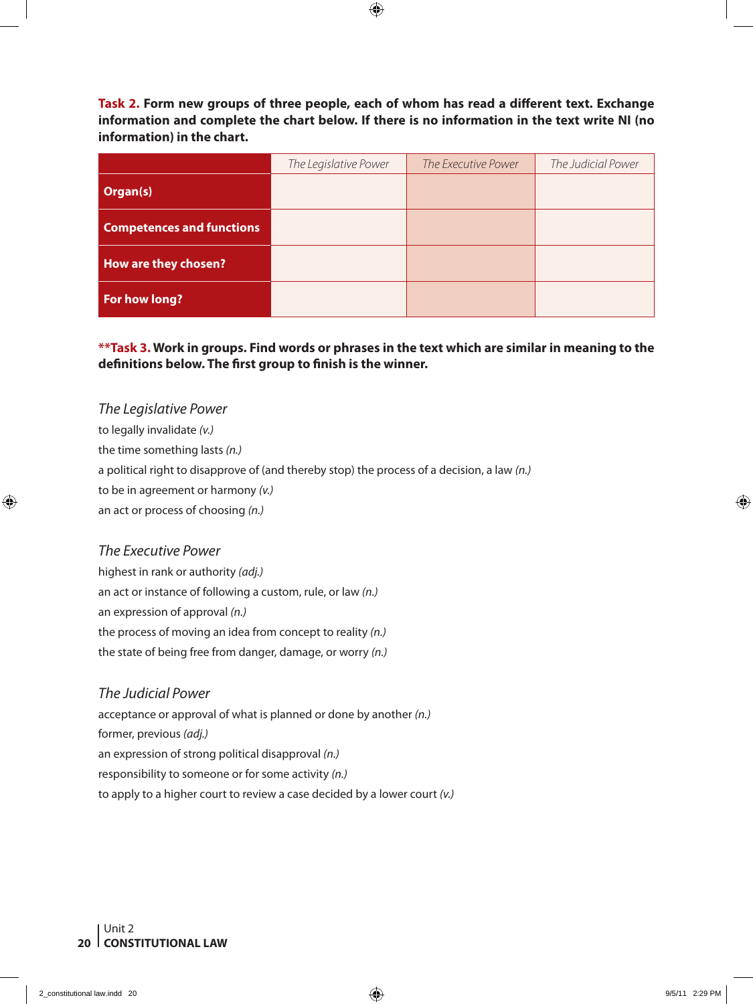**Task 2. Form new groups of three people, each of whom has read a different text. Exchange information and complete the chart below. If there is no information in the text write NI (no information) in the chart.**

|                                  | The Legislative Power | The Executive Power | The Judicial Power |
|----------------------------------|-----------------------|---------------------|--------------------|
| Organ(s)                         |                       |                     |                    |
| <b>Competences and functions</b> |                       |                     |                    |
| How are they chosen?             |                       |                     |                    |
| For how long?                    |                       |                     |                    |

**\*\*Task 3. Work in groups. Find words or phrases in the text which are similar in meaning to the definitions below. The first group to finish is the winner.**

*The Legislative Power* to legally invalidate *(v.)* the time something lasts *(n.)* a political right to disapprove of (and thereby stop) the process of a decision, a law *(n.)* to be in agreement or harmony *(v.)* an act or process of choosing *(n.)*

#### *The Executive Power*

highest in rank or authority *(adj.)* an act or instance of following a custom, rule, or law *(n.)* an expression of approval *(n.)* the process of moving an idea from concept to reality *(n.)* the state of being free from danger, damage, or worry *(n.)*

*The Judicial Power* acceptance or approval of what is planned or done by another *(n.)* former, previous *(adj.)* an expression of strong political disapproval *(n.)* responsibility to someone or for some activity *(n.)* to apply to a higher court to review a case decided by a lower court *(v.)*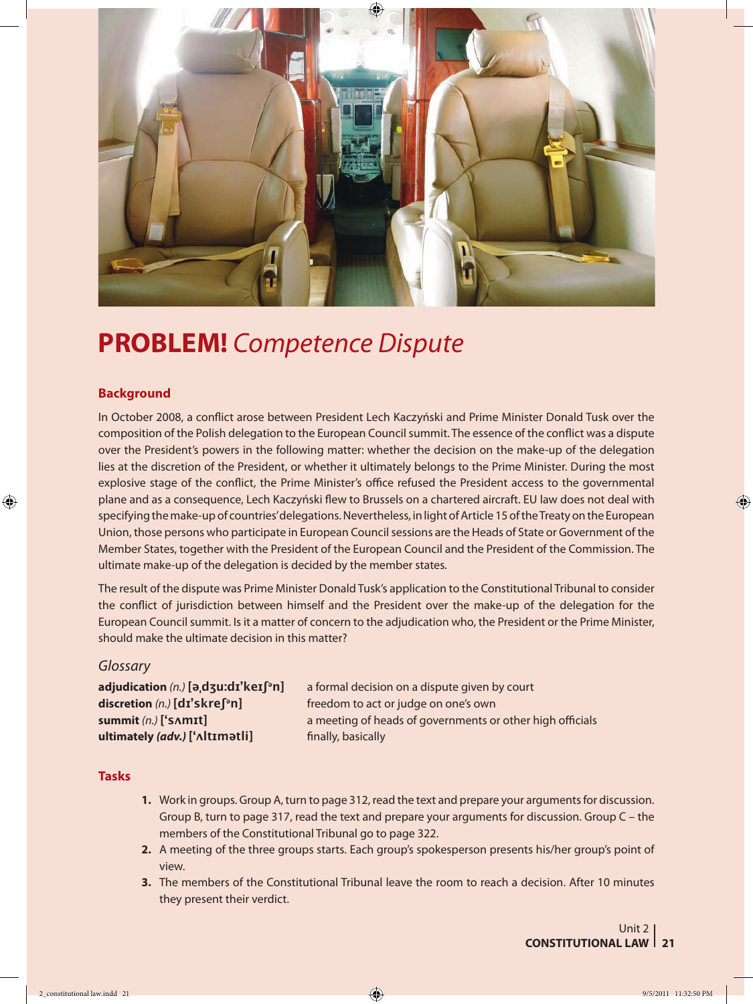

## **PROBLEM!** *Competence Dispute*

#### **Background**

In October 2008, a conflict arose between President Lech Kaczyński and Prime Minister Donald Tusk over the composition of the Polish delegation to the European Council summit. The essence of the conflict was a dispute over the President's powers in the following matter: whether the decision on the make-up of the delegation lies at the discretion of the President, or whether it ultimately belongs to the Prime Minister. During the most explosive stage of the conflict, the Prime Minister's office refused the President access to the governmental plane and as a consequence, Lech Kaczyński flew to Brussels on a chartered aircraft. EU law does not deal with specifying the make-up of countries' delegations. Nevertheless, in light of Article 15 of the Treaty on the European Union, those persons who participate in European Council sessions are the Heads of State or Government of the Member States, together with the President of the European Council and the President of the Commission. The ultimate make-up of the delegation is decided by the member states.

The result of the dispute was Prime Minister Donald Tusk's application to the Constitutional Tribunal to consider the conflict of jurisdiction between himself and the President over the make-up of the delegation for the European Council summit. Is it a matter of concern to the adjudication who, the President or the Prime Minister, should make the ultimate decision in this matter?

#### *Glossary*

**ultimately (adv.)** ['**ʌltɪmətli**] finally, basically

**adjudication** *(n.)***[әˌdʒu:dɪ'keɪʃәn]** a formal decision on a dispute given by court **discretion** *(n.)***[dɪ'skreʃәn]** freedom to act or judge on one's own **summit** *(n.)***['sʌmɪt]** a meeting of heads of governments or other high officials

#### **Tasks**

- **1.** Work in groups. Group A, turn to page 312, read the text and prepare your arguments for discussion. Group B, turn to page 317, read the text and prepare your arguments for discussion. Group C – the members of the Constitutional Tribunal go to page 322.
- **2.** A meeting of the three groups starts. Each group's spokesperson presents his/her group's point of view.
- **3.** The members of the Constitutional Tribunal leave the room to reach a decision. After 10 minutes they present their verdict.